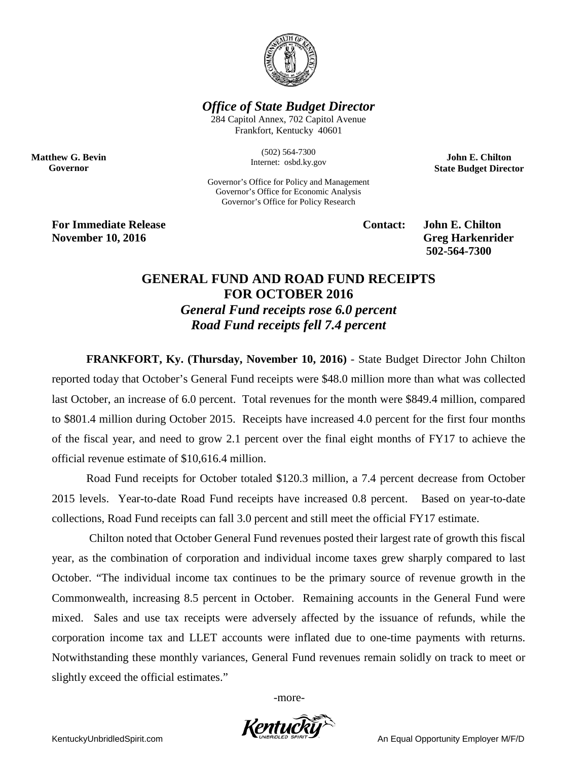

*Office of State Budget Director*

284 Capitol Annex, 702 Capitol Avenue Frankfort, Kentucky 40601

> (502) 564-7300 Internet: osbd.ky.gov

Governor's Office for Policy and Management Governor's Office for Economic Analysis Governor's Office for Policy Research

**John E. Chilton State Budget Director**

**For Immediate Release Contact: John E. Chilton November 10, 2016** Greg Harkenrider

**Matthew G. Bevin Governor**

**502-564-7300** 

## **GENERAL FUND AND ROAD FUND RECEIPTS FOR OCTOBER 2016** *General Fund receipts rose 6.0 percent Road Fund receipts fell 7.4 percent*

**FRANKFORT, Ky. (Thursday, November 10, 2016)** - State Budget Director John Chilton reported today that October's General Fund receipts were \$48.0 million more than what was collected last October, an increase of 6.0 percent. Total revenues for the month were \$849.4 million, compared to \$801.4 million during October 2015. Receipts have increased 4.0 percent for the first four months of the fiscal year, and need to grow 2.1 percent over the final eight months of FY17 to achieve the official revenue estimate of \$10,616.4 million.

Road Fund receipts for October totaled \$120.3 million, a 7.4 percent decrease from October 2015 levels. Year-to-date Road Fund receipts have increased 0.8 percent. Based on year-to-date collections, Road Fund receipts can fall 3.0 percent and still meet the official FY17 estimate.

Chilton noted that October General Fund revenues posted their largest rate of growth this fiscal year, as the combination of corporation and individual income taxes grew sharply compared to last October. "The individual income tax continues to be the primary source of revenue growth in the Commonwealth, increasing 8.5 percent in October. Remaining accounts in the General Fund were mixed. Sales and use tax receipts were adversely affected by the issuance of refunds, while the corporation income tax and LLET accounts were inflated due to one-time payments with returns. Notwithstanding these monthly variances, General Fund revenues remain solidly on track to meet or slightly exceed the official estimates."

-more-

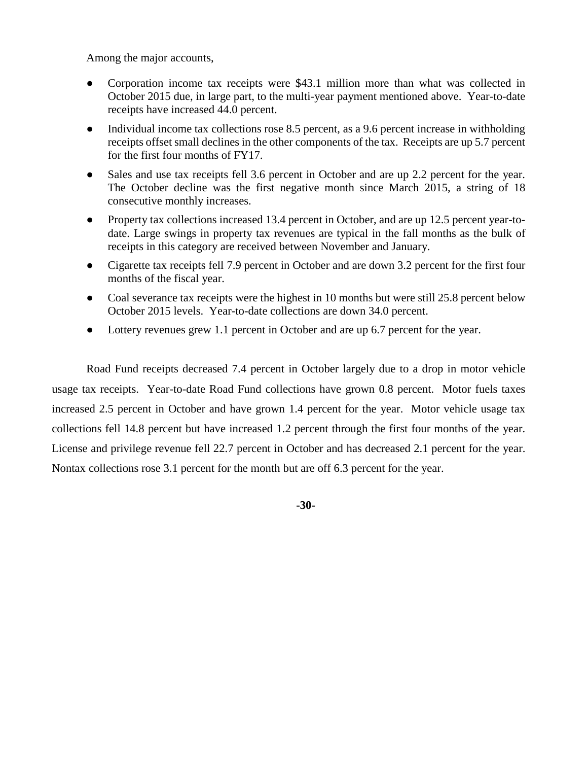Among the major accounts,

- Corporation income tax receipts were \$43.1 million more than what was collected in October 2015 due, in large part, to the multi-year payment mentioned above. Year-to-date receipts have increased 44.0 percent.
- Individual income tax collections rose 8.5 percent, as a 9.6 percent increase in withholding receipts offset small declines in the other components of the tax. Receipts are up 5.7 percent for the first four months of FY17.
- Sales and use tax receipts fell 3.6 percent in October and are up 2.2 percent for the year. The October decline was the first negative month since March 2015, a string of 18 consecutive monthly increases.
- Property tax collections increased 13.4 percent in October, and are up 12.5 percent year-todate. Large swings in property tax revenues are typical in the fall months as the bulk of receipts in this category are received between November and January.
- Cigarette tax receipts fell 7.9 percent in October and are down 3.2 percent for the first four months of the fiscal year.
- Coal severance tax receipts were the highest in 10 months but were still 25.8 percent below October 2015 levels. Year-to-date collections are down 34.0 percent.
- Lottery revenues grew 1.1 percent in October and are up 6.7 percent for the year.

Road Fund receipts decreased 7.4 percent in October largely due to a drop in motor vehicle usage tax receipts. Year-to-date Road Fund collections have grown 0.8 percent. Motor fuels taxes increased 2.5 percent in October and have grown 1.4 percent for the year. Motor vehicle usage tax collections fell 14.8 percent but have increased 1.2 percent through the first four months of the year. License and privilege revenue fell 22.7 percent in October and has decreased 2.1 percent for the year. Nontax collections rose 3.1 percent for the month but are off 6.3 percent for the year.

**-30-**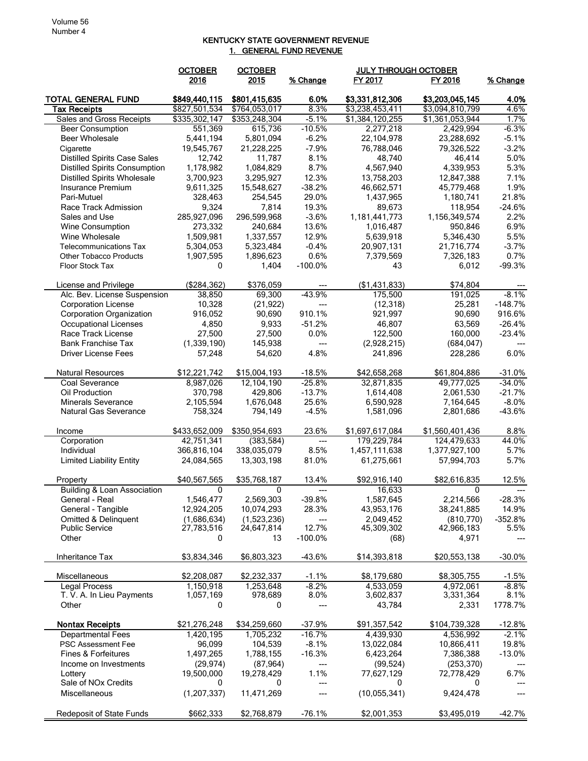## KENTUCKY STATE GOVERNMENT REVENUE 1. GENERAL FUND REVENUE

|                                      | <b>OCTOBER</b>  | <b>OCTOBER</b>            |                         | <b>JULY THROUGH OCTOBER</b> |                     |           |
|--------------------------------------|-----------------|---------------------------|-------------------------|-----------------------------|---------------------|-----------|
|                                      | 2016            | 2015                      | % Change                | FY 2017                     | FY 2016             | % Change  |
|                                      |                 |                           |                         |                             |                     |           |
| <b>TOTAL GENERAL FUND</b>            | \$849,440.115   | \$801,415,635             | 6.0%                    | \$3,331,812,306             | \$3,203,045,145     | 4.0%      |
| <b>Tax Receipts</b>                  | \$827,501,534   | \$764,053,017             | 8.3%                    | \$3,238,453,411             | \$3,094,810,799     | 4.6%      |
| <b>Sales and Gross Receipts</b>      | \$335,302,147   | \$353,248,304             | $-5.1%$                 | \$1,384,120,255             | \$1,361,053,944     | 1.7%      |
| <b>Beer Consumption</b>              | 551,369         | 615,736                   | $-10.5%$                | 2,277,218                   | 2,429,994           | $-6.3%$   |
| Beer Wholesale                       | 5,441,194       | 5,801,094                 | $-6.2%$                 | 22,104,978                  | 23,288,692          | $-5.1%$   |
| Cigarette                            | 19,545,767      | 21,228,225                | $-7.9%$                 | 76,788,046                  | 79,326,522          | $-3.2%$   |
| <b>Distilled Spirits Case Sales</b>  | 12,742          | 11,787                    | 8.1%                    | 48,740                      | 46,414              | 5.0%      |
| <b>Distilled Spirits Consumption</b> | 1,178,982       | 1,084,829                 | 8.7%                    | 4,567,940                   | 4,339,953           | 5.3%      |
| <b>Distilled Spirits Wholesale</b>   | 3,700,923       | 3,295,927                 | 12.3%                   | 13,758,203                  | 12,847,388          | 7.1%      |
| Insurance Premium                    | 9,611,325       | 15,548,627                | $-38.2%$                | 46,662,571                  | 45,779,468          | 1.9%      |
| Pari-Mutuel                          | 328,463         | 254,545                   | 29.0%                   | 1,437,965                   | 1,180,741           | 21.8%     |
| Race Track Admission                 | 9,324           | 7,814                     | 19.3%                   | 89,673                      | 118,954             | $-24.6%$  |
| Sales and Use                        | 285,927,096     | 296,599,968               | $-3.6%$                 | 1,181,441,773               | 1,156,349,574       | 2.2%      |
| Wine Consumption                     | 273,332         | 240,684                   | 13.6%                   | 1,016,487                   | 950,846             | 6.9%      |
| Wine Wholesale                       | 1,509,981       | 1,337,557                 | 12.9%                   | 5,639,918                   | 5,346,430           | 5.5%      |
| <b>Telecommunications Tax</b>        | 5,304,053       | 5,323,484                 | $-0.4%$                 | 20,907,131                  | 21,716,774          | $-3.7%$   |
| <b>Other Tobacco Products</b>        | 1,907,595       | 1,896,623                 | 0.6%                    | 7,379,569                   | 7,326,183           | 0.7%      |
| <b>Floor Stock Tax</b>               | 0               | 1,404                     | $-100.0%$               | 43                          | 6,012               | $-99.3%$  |
|                                      |                 |                           |                         |                             |                     |           |
| License and Privilege                | (\$284,362)     | \$376,059                 | ---                     | (\$1,431,833)               | \$74,804            |           |
| Alc. Bev. License Suspension         | 38,850          | 69,300                    | $-43.9%$                | 175,500                     | 191,025             | $-8.1%$   |
| <b>Corporation License</b>           | 10,328          | (21, 922)                 | ---                     | (12, 318)                   | 25,281              | $-148.7%$ |
| <b>Corporation Organization</b>      | 916,052         | 90,690                    | 910.1%                  | 921,997                     | 90,690              | 916.6%    |
| <b>Occupational Licenses</b>         | 4,850           | 9,933                     | $-51.2%$                | 46,807                      | 63,569              | $-26.4%$  |
| Race Track License                   | 27,500          | 27,500                    | 0.0%                    | 122,500                     | 160,000             | $-23.4%$  |
| <b>Bank Franchise Tax</b>            | (1,339,190)     | 145,938                   | ---                     | (2,928,215)                 | (684, 047)          |           |
| <b>Driver License Fees</b>           | 57,248          | 54,620                    | 4.8%                    | 241,896                     | 228,286             | 6.0%      |
|                                      |                 |                           |                         |                             |                     |           |
| <b>Natural Resources</b>             | \$12,221,742    | \$15,004,193              | $-18.5%$                | \$42,658,268                | \$61,804,886        | $-31.0%$  |
| Coal Severance                       | 8,987,026       | 12,104,190                | $-25.8%$                | 32,871,835                  | 49,777,025          | $-34.0%$  |
| Oil Production                       | 370,798         | 429,806                   | $-13.7%$                | 1,614,408                   | 2,061,530           | $-21.7%$  |
| <b>Minerals Severance</b>            | 2,105,594       | 1,676,048                 | 25.6%                   | 6,590,928                   | 7,164,645           | $-8.0%$   |
| Natural Gas Severance                | 758,324         | 794,149                   | $-4.5%$                 | 1,581,096                   | 2,801,686           | $-43.6%$  |
|                                      |                 |                           |                         |                             |                     |           |
| Income                               | \$433,652,009   | \$350,954,693             | 23.6%                   | \$1,697,617,084             | \$1,560,401,436     | 8.8%      |
| Corporation                          | 42,751,341      | (383, 584)                | $\qquad \qquad -\qquad$ | 179,229,784                 | 124,479,633         | 44.0%     |
| Individual                           | 366,816,104     | 338,035,079               | 8.5%                    | 1,457,111,638               | 1,377,927,100       | 5.7%      |
| <b>Limited Liability Entity</b>      | 24,084,565      | 13,303,198                | 81.0%                   | 61,275,661                  | 57,994,703          | 5.7%      |
|                                      |                 |                           |                         |                             |                     |           |
| Property                             | \$40,567,565    | \$35,768,187              | 13.4%                   | \$92,916,140                | \$82,616,835        | 12.5%     |
| Building & Loan Association          | 0               | 0                         | $---$                   | 16,633                      | 0                   |           |
| General - Real                       | 1,546,477       | 2,569,303                 | $-39.8%$                | 1,587,645                   | 2,214,566           | $-28.3%$  |
| General - Tangible                   | 12,924,205      | 10,074,293                | 28.3%                   | 43,953,176                  | 38,241,885          | 14.9%     |
| <b>Omitted &amp; Delinquent</b>      | (1,686,634)     | (1,523,236)<br>24,647,814 | 12.7%                   | 2,049,452                   | (810, 770)          | $-352.8%$ |
| <b>Public Service</b><br>Other       | 27,783,516<br>0 | 13                        | $-100.0%$               | 45,309,302<br>(68)          | 42,966,183<br>4,971 | 5.5%      |
|                                      |                 |                           |                         |                             |                     |           |
| Inheritance Tax                      | \$3,834,346     | \$6,803,323               | $-43.6%$                | \$14,393,818                | \$20,553,138        | $-30.0%$  |
|                                      |                 |                           |                         |                             |                     |           |
| Miscellaneous                        | \$2,208,087     | \$2,232,337               | $-1.1%$                 | \$8,179,680                 | \$8,305,755         | $-1.5%$   |
| Legal Process                        | 1,150,918       | 1.253.648                 | $-8.2%$                 | 4,533,059                   | 4,972,061           | $-8.8%$   |
| T. V. A. In Lieu Payments            | 1,057,169       | 978,689                   | 8.0%                    | 3,602,837                   | 3,331,364           | 8.1%      |
| Other                                | 0               | 0                         | ---                     | 43,784                      | 2,331               | 1778.7%   |
|                                      |                 |                           |                         |                             |                     |           |
| <b>Nontax Receipts</b>               | \$21,276,248    | \$34,259,660              | $-37.9%$                | \$91,357,542                | \$104,739,328       | $-12.8%$  |
| <b>Departmental Fees</b>             | 1,420,195       | 1,705,232                 | $-16.7%$                | 4,439,930                   | 4,536,992           | $-2.1%$   |
| PSC Assessment Fee                   | 96,099          | 104,539                   | $-8.1%$                 | 13,022,084                  | 10,866,411          | 19.8%     |
| Fines & Forfeitures                  | 1,497,265       | 1,788,155                 | $-16.3%$                | 6,423,264                   | 7,386,388           | $-13.0%$  |
| Income on Investments                | (29, 974)       | (87, 964)                 | ---                     | (99, 524)                   | (253, 370)          |           |
| Lottery                              | 19,500,000      | 19,278,429                | 1.1%                    | 77,627,129                  | 72,778,429          | 6.7%      |
| Sale of NOx Credits                  | 0               | 0                         | ---                     | 0                           | 0                   |           |
| Miscellaneous                        | (1, 207, 337)   | 11,471,269                |                         | (10, 055, 341)              | 9,424,478           |           |
|                                      |                 |                           |                         |                             |                     |           |
| Redeposit of State Funds             | \$662,333       | \$2,768,879               | $-76.1%$                | \$2,001,353                 | \$3,495,019         | $-42.7%$  |